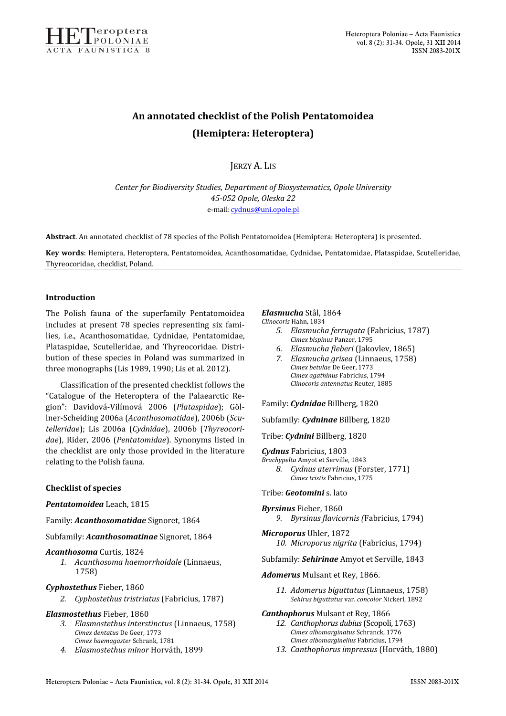

# An annotated checklist of the Polish Pentatomoidea (Hemiptera: Heteroptera)

JERZY A. LIS

Center for Biodiversity Studies, Department of Biosystematics, Opole University 45-052 Opole, Oleska 22 e-mail: cydnus@uni.opole.pl

Abstract. An annotated checklist of 78 species of the Polish Pentatomoidea (Hemiptera: Heteroptera) is presented.

Key words: Hemiptera, Heteroptera, Pentatomoidea, Acanthosomatidae, Cydnidae, Pentatomidae, Plataspidae, Scutelleridae, Thyreocoridae, checklist, Poland.

### Introduction

The Polish fauna of the superfamily Pentatomoidea includes at present 78 species representing six families, i.e., Acanthosomatidae, Cydnidae, Pentatomidae, Plataspidae, Scutelleridae, and Thyreocoridae. Distribution of these species in Poland was summarized in three monographs (Lis 1989, 1990; Lis et al. 2012).

Classification of the presented checklist follows the "Catalogue of the Heteroptera of the Palaearctic Region": Davidová-Vilímová 2006 (Plataspidae); Göllner-Scheiding 2006a (Acanthosomatidae), 2006b (Scutelleridae); Lis 2006a (Cydnidae), 2006b (Thyreocoridae), Rider, 2006 (Pentatomidae). Synonyms listed in the checklist are only those provided in the literature relating to the Polish fauna.

### Checklist of species

### Pentatomoidea Leach, 1815

### Family: Acanthosomatidae Signoret, 1864

Subfamily: Acanthosomatinae Signoret, 1864

### Acanthosoma Curtis, 1824

1. Acanthosoma haemorrhoidale (Linnaeus, 1758)

### Cyphostethus Fieber, 1860

2. Cyphostethus tristriatus (Fabricius, 1787)

### Elasmostethus Fieber, 1860

- 3. Elasmostethus interstinctus (Linnaeus, 1758) Cimex dentatus De Geer, 1773 Cimex haemagaster Schrank, 1781
- 4. Elasmostethus minor Horváth, 1899

# Elasmucha Stål, 1864

Clinocoris Hahn, 1834

- 5. Elasmucha ferrugata (Fabricius, 1787) Cimex bispinus Panzer, 1795
- 6. Elasmucha fieberi (Jakovlev, 1865)
- 7. Elasmucha grisea (Linnaeus, 1758) Cimex betulae De Geer, 1773 Cimex agathinus Fabricius, 1794 Clinocoris antennatus Reuter, 1885

Family: Cydnidae Billberg, 1820

Subfamily: Cydninae Billberg, 1820

### Tribe: Cydnini Billberg, 1820

- Cydnus Fabricius, 1803
- Brachypelta Amyot et Serville, 1843 8. Cydnus aterrimus (Forster, 1771) Cimex tristis Fabricius, 1775

Tribe: Geotomini s. lato

Byrsinus Fieber, 1860 9. Byrsinus flavicornis (Fabricius, 1794)

Microporus Uhler, 1872 10. Microporus nigrita (Fabricius, 1794)

Subfamily: Sehirinae Amyot et Serville, 1843

#### Adomerus Mulsant et Rey, 1866.

11. Adomerus biguttatus (Linnaeus, 1758) Sehirus biguttatus var. concolor Nickerl, 1892

### Canthophorus Mulsant et Rey, 1866

- 12. Canthophorus dubius (Scopoli, 1763) Cimex albomarginatus Schranck, 1776 Cimex albomarginellus Fabricius, 1794
- 13. Canthophorus impressus (Horváth, 1880)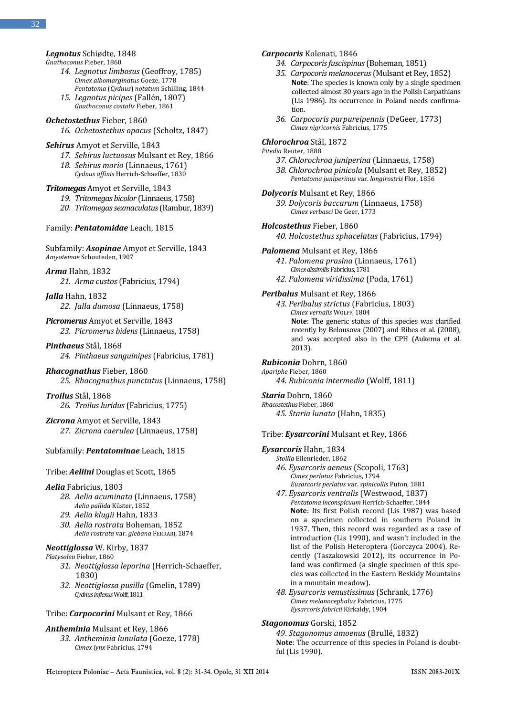# Legnotus Schiødte, 1848

Gnathoconus Fieber, 1860

- 14. Legnotus limbosus (Geoffroy, 1785) Cimex albomarginatus Goeze, 1778 Pentatoma (Cydnus) notatum Schilling, 1844
- 15. Legnotus picipes (Fallén, 1807) Gnathoconus costalis Fieber, 1861

# Ochetostethus Fieber, 1860

16. Ochetostethus opacus (Scholtz, 1847)

# Sehirus Amyot et Serville, 1843

- 17. Sehirus luctuosus Mulsant et Rey, 1866
- 18. Sehirus morio (Linnaeus, 1761) Cydnus affinis Herrich-Schaeffer, 1830

### TritomegasAmyot et Serville, 1843

- 19. Tritomegas bicolor (Linnaeus, 1758)
- 20. Tritomegas sexmaculatus (Rambur, 1839)

Family: Pentatomidae Leach, 1815

### Subfamily: Asopinae Amyot et Serville, 1843 Amyoteinae Schouteden, 1907

Arma Hahn, 1832 21. Arma custos (Fabricius, 1794)

Jalla Hahn, 1832 22. Jalla dumosa (Linnaeus, 1758)

# Picromerus Amyot et Serville, 1843 23. Picromerus bidens (Linnaeus, 1758)

# Pinthaeus Stål, 1868 24. Pinthaeus sanguinipes (Fabricius, 1781)

Rhacognathus Fieber, 1860 25. Rhacognathus punctatus (Linnaeus, 1758)

Troilus Stål, 1868 26. Troilus luridus (Fabricius, 1775)

Zicrona Amyot et Serville, 1843 27. Zicrona caerulea (Linnaeus, 1758)

# Subfamily: Pentatominae Leach, 1815

### Tribe: Aeliini Douglas et Scott, 1865

#### Aelia Fabricius, 1803

- 28. Aelia acuminata (Linnaeus, 1758) Aelia pallida Küster, 1852
- 29. Aelia klugii Hahn, 1833
- 30. Aelia rostrata Boheman, 1852 Aelia rostrata var. glebana FERRARI, 1874

### Neottiglossa W. Kirby, 1837

### Platysolen Fieber, 1860

- 31. Neottiglossa leporina (Herrich-Schaeffer, 1830)
- 32. Neottiglossa pusilla (Gmelin, 1789) Cydnus inflexus Wolff,1811

### Tribe: Carpocorini Mulsant et Rey, 1866

### Antheminia Mulsant et Rey, 1866

33. Antheminia lunulata (Goeze, 1778) Cimex lynx Fabricius, 1794

# Carpocoris Kolenati, 1846

- 34. Carpocoris fuscispinus (Boheman, 1851)
- 35. Carpocoris melanocerus (Mulsant et Rey, 1852) Note: The species is known only by a single specimen collected almost 30 years ago in the Polish Carpathians (Lis 1986). Its occurrence in Poland needs confirmation.
- 36. Carpocoris purpureipennis (DeGeer, 1773) Cimex nigricornis Fabricius, 1775

# Chlorochroa Stål, 1872

- Pitedia Reuter, 1888
	- 37. Chlorochroa juniperina (Linnaeus, 1758)
	- 38. Chlorochroa pinicola (Mulsant et Rey, 1852) Pentatoma juniperinus var. longirostris Flor, 1856
- Dolycoris Mulsant et Rey, 1866 39. Dolycoris baccarum (Linnaeus, 1758)
	- Cimex verbasci De Geer, 1773

### Holcostethus Fieber, 1860

### 40. Holcostethus sphacelatus (Fabricius, 1794)

#### Palomena Mulsant et Rey, 1866

- 41. Palomena prasina (Linnaeus, 1761) Cimex dissimilis Fabricius, 1781
- 42. Palomena viridissima (Poda, 1761)

### Peribalus Mulsant et Rey, 1866

43. Peribalus strictus (Fabricius, 1803) Cimex vernalis WOLFF, 1804 Note: The generic status of this species was clarified recently by Belousova (2007) and Ribes et al. (2008), and was accepted also in the CPH (Aukema et al. 2013).

# Rubiconia Dohrn, 1860

Apariphe Fieber, 1860 44. Rubiconia intermedia (Wolff, 1811)

# Staria Dohrn, 1860

Rhacostethus Fieber, 1860 45. Staria lunata (Hahn, 1835)

#### Tribe: **Eysarcorini** Mulsant et Rey, 1866

### Eysarcoris Hahn, 1834

- Stollia Ellenrieder, 1862 46. Eysarcoris aeneus (Scopoli, 1763)
- Cimex perlatus Fabricius, 1794 Eusarcoris perlatus var. spinicollis Puton, 1881
- 47. Eysarcoris ventralis (Westwood, 1837) Pentatoma inconspicuum Herrich-Schaeffer, 1844 Note: Its first Polish record (Lis 1987) was based on a specimen collected in southern Poland in 1937. Then, this record was regarded as a case of introduction (Lis 1990), and wasn't included in the list of the Polish Heteroptera (Gorczyca 2004). Recently (Taszakowski 2012), its occurrence in Poland was confirmed (a single specimen of this species was collected in the Eastern Beskidy Mountains in a mountain meadow).
- 48. Eysarcoris venustissimus (Schrank, 1776) Cimex melanocephalus Fabricius, 1775 Eysarcoris fabricii Kirkaldy, 1904

### Stagonomus Gorski, 1852

49. Stagonomus amoenus (Brullé, 1832) Note: The occurrence of this species in Poland is doubtful (Lis 1990).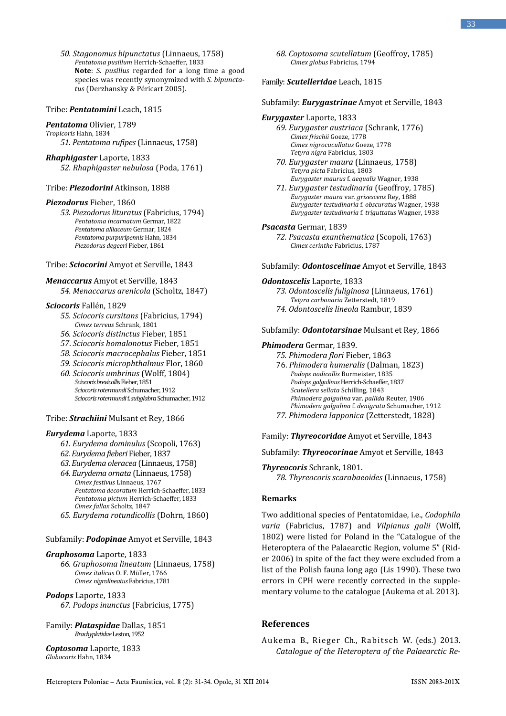50. Stagonomus bipunctatus (Linnaeus, 1758) Pentatoma pusillum Herrich-Schaeffer, 1833 Note: S. pusillus regarded for a long time a good species was recently synonymized with S. bipunctatus (Derzhansky & Péricart 2005).

#### Tribe: Pentatomini Leach, 1815

# Pentatoma Olivier, 1789

- Tropicoris Hahn, 1834 51. Pentatoma rufipes (Linnaeus, 1758)
- Rhaphigaster Laporte, 1833 52. Rhaphigaster nebulosa (Poda, 1761)

#### Tribe: Piezodorini Atkinson, 1888

#### Piezodorus Fieber, 1860

53. Piezodorus lituratus (Fabricius, 1794) Pentatoma incarnatum Germar, 1822 Pentatoma alliaceum Germar, 1824 Pentatoma purpuripennis Hahn, 1834 Piezodorus degeeri Fieber, 1861

#### Tribe: Sciocorini Amyot et Serville, 1843

#### Menaccarus Amyot et Serville, 1843

54. Menaccarus arenicola (Scholtz, 1847)

### Sciocoris Fallén, 1829

- 55. Sciocoris cursitans (Fabricius, 1794) Cimex terreus Schrank, 1801
- 56. Sciocoris distinctus Fieber, 1851
- 57. Sciocoris homalonotus Fieber, 1851
- 58. Sciocoris macrocephalus Fieber, 1851
- 59. Sciocoris microphthalmus Flor, 1860
- 60. Sciocoris umbrinus (Wolff, 1804) Sciocoris brevicollis Fieber, 1851 Sciocoris rotermundi Schumacher, 1912 Sciocoris rotermundi f. subglabra Schumacher, 1912

### Tribe: **Strachiini** Mulsant et Rey, 1866

### Eurydema Laporte, 1833

- 61. Eurydema dominulus (Scopoli, 1763)
- 62. Eurydema fieberi Fieber, 1837
- 63. Eurydema oleracea (Linnaeus, 1758)
- 64. Eurydema ornata (Linnaeus, 1758) Cimex festivus Linnaeus, 1767 Pentatoma decoratum Herrich-Schaeffer, 1833 Pentatoma pictum Herrich-Schaeffer, 1833 Cimex fallax Scholtz, 1847
- 65. Eurydema rotundicollis (Dohrn, 1860)

### Subfamily: Podopinae Amyot et Serville, 1843

### Graphosoma Laporte, 1833

66. Graphosoma lineatum (Linnaeus, 1758) Cimex italicus O. F. Müller, 1766 Cimex nigrolineatus Fabricius, 1781

# Podops Laporte, 1833

67. Podops inunctus (Fabricius, 1775)

#### Family: Plataspidae Dallas, 1851 Brachyplatidae Leston, 1952

Coptosoma Laporte, 1833 Globocoris Hahn, 1834

68. Coptosoma scutellatum (Geoffroy, 1785) Cimex globus Fabricius, 1794

### Family: Scutelleridae Leach, 1815

#### Subfamily: *Eurvaastrinae* Amyot et Serville, 1843

### Eurygaster Laporte, 1833

69. Eurygaster austriaca (Schrank, 1776) Cimex frischii Goeze, 1778 Cimex nigrocucullatus Goeze, 1778 Tetyra nigra Fabricius, 1803

- 70. Eurygaster maura (Linnaeus, 1758) Tetyra picta Fabricius, 1803 Eurygaster maurus f. aequalis Wagner, 1938
- 71. Eurygaster testudinaria (Geoffroy, 1785) Eurygaster maura var. grisescens Rey, 1888 Eurygaster testudinaria f. obscuratus Wagner, 1938 Eurygaster testudinaria f. triguttatus Wagner, 1938

### Psacasta Germar, 1839

72. Psacasta exanthematica (Scopoli, 1763) Cimex cerinthe Fabricius, 1787

### Subfamily: **Odontoscelinae** Amyot et Serville, 1843

#### Odontoscelis Laporte, 1833

73. Odontoscelis fuliginosa (Linnaeus, 1761) Tetyra carbonaria Zetterstedt, 1819 74. Odontoscelis lineola Rambur, 1839

### Subfamily: Odontotarsinae Mulsant et Rey, 1866

#### Phimodera Germar, 1839.

- 75. Phimodera flori Fieber, 1863
- 76. Phimodera humeralis (Dalman, 1823) Podops nodicollis Burmeister, 1835 Podops galgulinus Herrich-Schaeffer, 1837 Scutellera sellata Schilling, 1843 Phimodera galgulina var. pallida Reuter, 1906 Phimodera galgulina f. denigrata Schumacher, 1912 77. Phimodera lapponica (Zetterstedt, 1828)

Family: Thyreocoridae Amyot et Serville, 1843

### Subfamily: Thyreocorinae Amyot et Serville, 1843

Thyreocoris Schrank, 1801. 78. Thyreocoris scarabaeoides (Linnaeus, 1758)

### Remarks

Two additional species of Pentatomidae, i.e., Codophila varia (Fabricius, 1787) and Vilpianus galii (Wolff, 1802) were listed for Poland in the "Catalogue of the Heteroptera of the Palaearctic Region, volume 5" (Rider 2006) in spite of the fact they were excluded from a list of the Polish fauna long ago (Lis 1990). These two errors in CPH were recently corrected in the supplementary volume to the catalogue (Aukema et al. 2013).

# References

Aukema B., Rieger Ch., Rabitsch W. (eds.) 2013. Catalogue of the Heteroptera of the Palaearctic Re